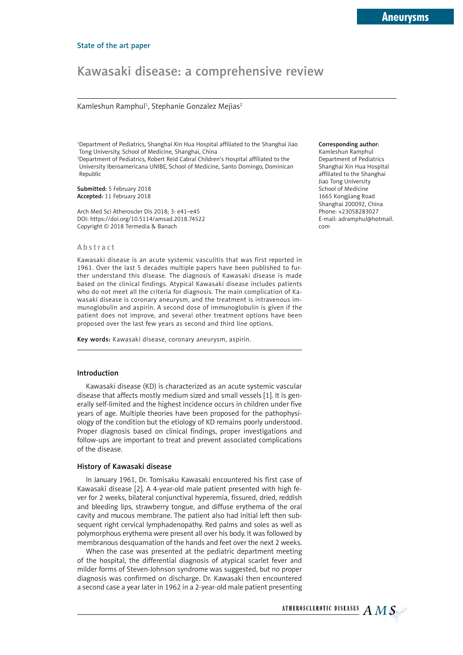# Kawasaki disease: a comprehensive review

Kamleshun Ramphul<sup>1</sup>, Stephanie Gonzalez Mejias<sup>2</sup>

1 Department of Pediatrics, Shanghai Xin Hua Hospital affiliated to the Shanghai Jiao Tong University, School of Medicine, Shanghai, China

2 Department of Pediatrics, Robert Reid Cabral Children's Hospital affiliated to the University Iberoamericana UNIBE, School of Medicine, Santo Domingo, Dominican Republic

Submitted: 5 February 2018 Accepted: 11 February 2018

Arch Med Sci Atheroscler Dis 2018; 3: e41–e45 DOI: https://doi.org/10.5114/amsad.2018.74522 Copyright © 2018 Termedia & Banach

#### Abstract

Kawasaki disease is an acute systemic vasculitis that was first reported in 1961. Over the last 5 decades multiple papers have been published to further understand this disease. The diagnosis of Kawasaki disease is made based on the clinical findings. Atypical Kawasaki disease includes patients who do not meet all the criteria for diagnosis. The main complication of Kawasaki disease is coronary aneurysm, and the treatment is intravenous immunoglobulin and aspirin. A second dose of immunoglobulin is given if the patient does not improve, and several other treatment options have been proposed over the last few years as second and third line options.

Key words: Kawasaki disease, coronary aneurysm, aspirin.

## Introduction

Kawasaki disease (KD) is characterized as an acute systemic vascular disease that affects mostly medium sized and small vessels [1]. It is generally self-limited and the highest incidence occurs in children under five years of age. Multiple theories have been proposed for the pathophysiology of the condition but the etiology of KD remains poorly understood. Proper diagnosis based on clinical findings, proper investigations and follow-ups are important to treat and prevent associated complications of the disease.

#### History of Kawasaki disease

In January 1961, Dr. Tomisaku Kawasaki encountered his first case of Kawasaki disease [2]. A 4-year-old male patient presented with high fever for 2 weeks, bilateral conjunctival hyperemia, fissured, dried, reddish and bleeding lips, strawberry tongue, and diffuse erythema of the oral cavity and mucous membrane. The patient also had initial left then subsequent right cervical lymphadenopathy. Red palms and soles as well as polymorphous erythema were present all over his body. It was followed by membranous desquamation of the hands and feet over the next 2 weeks.

When the case was presented at the pediatric department meeting of the hospital, the differential diagnosis of atypical scarlet fever and milder forms of Steven-Johnson syndrome was suggested, but no proper diagnosis was confirmed on discharge. Dr. Kawasaki then encountered a second case a year later in 1962 in a 2-year-old male patient presenting

Corresponding author: Kamleshun Ramphul Department of Pediatrics Shanghai Xin Hua Hospital affiliated to the Shanghai Jiao Tong University School of Medicine 1665 Kongjiang Road Shanghai 200092, China Phone: +23058283027 E-mail: [adramphul@hotmail.](mailto:adramphul@hotmail.com) [com](mailto:adramphul@hotmail.com)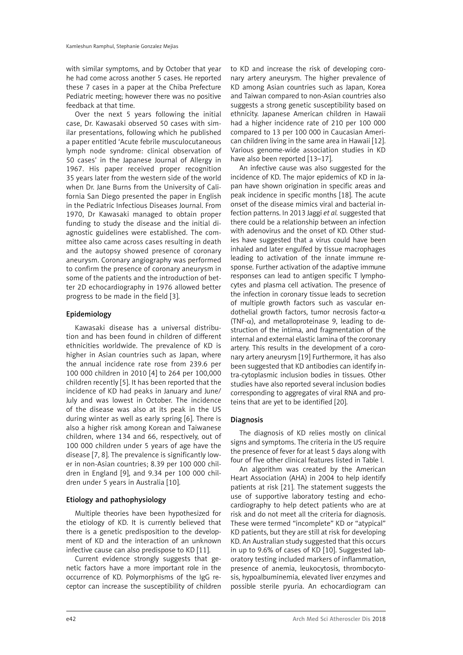with similar symptoms, and by October that year he had come across another 5 cases. He reported these 7 cases in a paper at the Chiba Prefecture Pediatric meeting; however there was no positive feedback at that time.

Over the next 5 years following the initial case, Dr. Kawasaki observed 50 cases with similar presentations, following which he published a paper entitled 'Acute febrile musculocutaneous lymph node syndrome: clinical observation of 50 cases' in the Japanese Journal of Allergy in 1967. His paper received proper recognition 35 years later from the western side of the world when Dr. Jane Burns from the University of California San Diego presented the paper in English in the Pediatric Infectious Diseases Journal. From 1970, Dr Kawasaki managed to obtain proper funding to study the disease and the initial diagnostic guidelines were established. The committee also came across cases resulting in death and the autopsy showed presence of coronary aneurysm. Coronary angiography was performed to confirm the presence of coronary aneurysm in some of the patients and the introduction of better 2D echocardiography in 1976 allowed better progress to be made in the field [3].

## Epidemiology

Kawasaki disease has a universal distribution and has been found in children of different ethnicities worldwide. The prevalence of KD is higher in Asian countries such as Japan, where the annual incidence rate rose from 239.6 per 100 000 children in 2010 [4] to 264 per 100,000 children recently [5]. It has been reported that the incidence of KD had peaks in January and June/ July and was lowest in October. The incidence of the disease was also at its peak in the US during winter as well as early spring [6]. There is also a higher risk among Korean and Taiwanese children, where 134 and 66, respectively, out of 100 000 children under 5 years of age have the disease [7, 8]. The prevalence is significantly lower in non-Asian countries; 8.39 per 100 000 children in England [9], and 9.34 per 100 000 children under 5 years in Australia [10].

# Etiology and pathophysiology

Multiple theories have been hypothesized for the etiology of KD. It is currently believed that there is a genetic predisposition to the development of KD and the interaction of an unknown infective cause can also predispose to KD [11].

Current evidence strongly suggests that genetic factors have a more important role in the occurrence of KD. Polymorphisms of the IgG receptor can increase the susceptibility of children to KD and increase the risk of developing coronary artery aneurysm. The higher prevalence of KD among Asian countries such as Japan, Korea and Taiwan compared to non-Asian countries also suggests a strong genetic susceptibility based on ethnicity. Japanese American children in Hawaii had a higher incidence rate of 210 per 100 000 compared to 13 per 100 000 in Caucasian American children living in the same area in Hawaii [12]. Various genome-wide association studies in KD have also been reported [13-17].

An infective cause was also suggested for the incidence of KD. The major epidemics of KD in Japan have shown origination in specific areas and peak incidence in specific months [18]. The acute onset of the disease mimics viral and bacterial infection patterns. In 2013 Jaggi *et al.* suggested that there could be a relationship between an infection with adenovirus and the onset of KD. Other studies have suggested that a virus could have been inhaled and later engulfed by tissue macrophages leading to activation of the innate immune response. Further activation of the adaptive immune responses can lead to antigen specific T lymphocytes and plasma cell activation. The presence of the infection in coronary tissue leads to secretion of multiple growth factors such as vascular endothelial growth factors, tumor necrosis factor- $\alpha$ (TNF- $\alpha$ ), and metalloproteinase 9, leading to destruction of the intima, and fragmentation of the internal and external elastic lamina of the coronary artery. This results in the development of a coronary artery aneurysm [19] Furthermore, it has also been suggested that KD antibodies can identify intra-cytoplasmic inclusion bodies in tissues. Other studies have also reported several inclusion bodies corresponding to aggregates of viral RNA and proteins that are yet to be identified [20].

# Diagnosis

The diagnosis of KD relies mostly on clinical signs and symptoms. The criteria in the US require the presence of fever for at least 5 days along with four of five other clinical features listed in Table I.

An algorithm was created by the American Heart Association (AHA) in 2004 to help identify patients at risk [21]. The statement suggests the use of supportive laboratory testing and echocardiography to help detect patients who are at risk and do not meet all the criteria for diagnosis. These were termed "incomplete" KD or "atypical" KD patients, but they are still at risk for developing KD. An Australian study suggested that this occurs in up to 9.6% of cases of KD [10]. Suggested laboratory testing included markers of inflammation, presence of anemia, leukocytosis, thrombocytosis, hypoalbuminemia, elevated liver enzymes and possible sterile pyuria. An echocardiogram can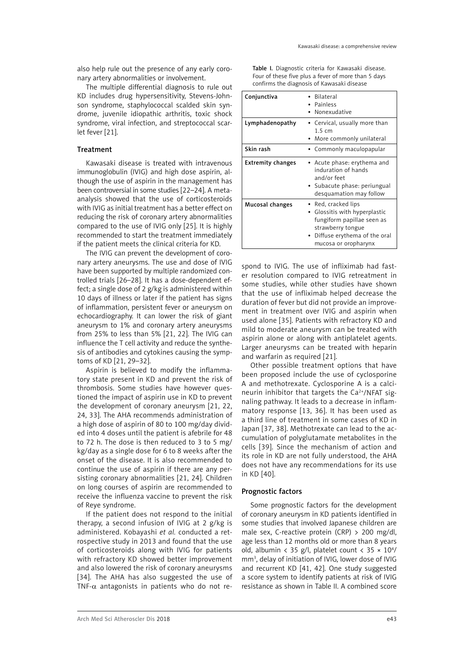Kawasaki disease: a comprehensive review

also help rule out the presence of any early coronary artery abnormalities or involvement.

The multiple differential diagnosis to rule out KD includes drug hypersensitivity, Stevens-Johnson syndrome, staphylococcal scalded skin syndrome, juvenile idiopathic arthritis, toxic shock syndrome, viral infection, and streptococcal scarlet fever [21].

# Treatment

Kawasaki disease is treated with intravenous immunoglobulin (IVIG) and high dose aspirin, although the use of aspirin in the management has been controversial in some studies [22–24]. A metaanalysis showed that the use of corticosteroids with IVIG as initial treatment has a better effect on reducing the risk of coronary artery abnormalities compared to the use of IVIG only [25]. It is highly recommended to start the treatment immediately if the patient meets the clinical criteria for KD.

The IVIG can prevent the development of coronary artery aneurysms. The use and dose of IVIG have been supported by multiple randomized controlled trials [26–28]. It has a dose-dependent effect; a single dose of 2 g/kg is administered within 10 days of illness or later if the patient has signs of inflammation, persistent fever or aneurysm on echocardiography. It can lower the risk of giant aneurysm to 1% and coronary artery aneurysms from 25% to less than 5% [21, 22]. The IVIG can influence the T cell activity and reduce the synthesis of antibodies and cytokines causing the symptoms of KD [21, 29–32].

Aspirin is believed to modify the inflammatory state present in KD and prevent the risk of thrombosis. Some studies have however questioned the impact of aspirin use in KD to prevent the development of coronary aneurysm [21, 22, 24, 33]. The AHA recommends administration of a high dose of aspirin of 80 to 100 mg/day divided into 4 doses until the patient is afebrile for 48 to 72 h. The dose is then reduced to 3 to 5 mg/ kg/day as a single dose for 6 to 8 weeks after the onset of the disease. It is also recommended to continue the use of aspirin if there are any persisting coronary abnormalities [21, 24]. Children on long courses of aspirin are recommended to receive the influenza vaccine to prevent the risk of Reye syndrome.

If the patient does not respond to the initial therapy, a second infusion of IVIG at 2 g/kg is administered. Kobayashi *et al.* conducted a retrospective study in 2013 and found that the use of corticosteroids along with IVIG for patients with refractory KD showed better improvement and also lowered the risk of coronary aneurysms [34]. The AHA has also suggested the use of TNF- $\alpha$  antagonists in patients who do not re-

| Table I. Diagnostic criteria for Kawasaki disease.  |
|-----------------------------------------------------|
| Four of these five plus a fever of more than 5 days |
| confirms the diagnosis of Kawasaki disease          |

| Conjunctiva              | <b>Bilateral</b><br>Painless<br>Nonexudative                                                                                                                  |  |
|--------------------------|---------------------------------------------------------------------------------------------------------------------------------------------------------------|--|
| Lymphadenopathy          | • Cervical, usually more than<br>$1.5 \text{ cm}$<br>More commonly unilateral                                                                                 |  |
| Skin rash                | • Commonly maculopapular                                                                                                                                      |  |
| <b>Extremity changes</b> | • Acute phase: erythema and<br>induration of hands<br>and/or feet<br>• Subacute phase: periungual<br>desquamation may follow                                  |  |
| Mucosal changes          | • Red, cracked lips<br>Glossitis with hyperplastic<br>fungiform papillae seen as<br>strawberry tongue<br>Diffuse erythema of the oral<br>mucosa or oropharynx |  |

spond to IVIG. The use of infliximab had faster resolution compared to IVIG retreatment in some studies, while other studies have shown that the use of infliximab helped decrease the duration of fever but did not provide an improvement in treatment over IVIG and aspirin when used alone [35]. Patients with refractory KD and mild to moderate aneurysm can be treated with aspirin alone or along with antiplatelet agents. Larger aneurysms can be treated with heparin and warfarin as required [21].

Other possible treatment options that have been proposed include the use of cyclosporine A and methotrexate. Cyclosporine A is a calcineurin inhibitor that targets the Ca2+/NFAT signaling pathway. It leads to a decrease in inflammatory response [13, 36]. It has been used as a third line of treatment in some cases of KD in Japan [37, 38]. Methotrexate can lead to the accumulation of polyglutamate metabolites in the cells [39]. Since the mechanism of action and its role in KD are not fully understood, the AHA does not have any recommendations for its use in KD [40].

## Prognostic factors

Some prognostic factors for the development of coronary aneurysm in KD patients identified in some studies that involved Japanese children are male sex, C-reactive protein (CRP) > 200 mg/dl, age less than 12 months old or more than 8 years old, albumin < 35 g/l, platelet count <  $35 \times 10^4$ / mm3 , delay of initiation of IVIG, lower dose of IVIG and recurrent KD [41, 42]. One study suggested a score system to identify patients at risk of IVIG resistance as shown in Table II. A combined score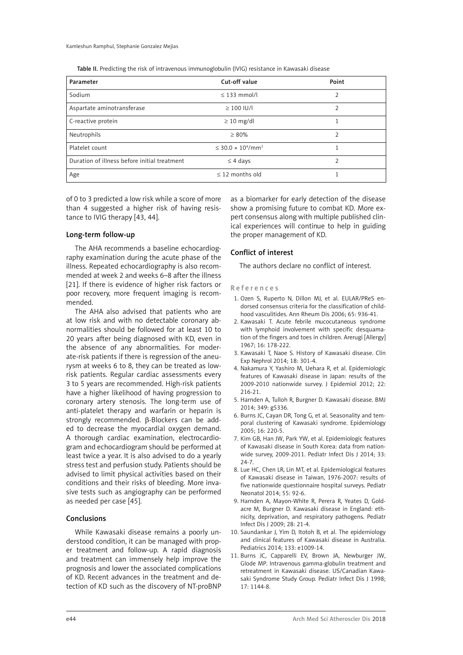Table II. Predicting the risk of intravenous immunoglobulin (IVIG) resistance in Kawasaki disease

| Parameter                                    | Cut-off value                                      | Point |
|----------------------------------------------|----------------------------------------------------|-------|
| Sodium                                       | $\leq$ 133 mmol/l                                  | 2     |
| Aspartate aminotransferase                   | $\geq$ 100 IU/l                                    | 2     |
| C-reactive protein                           | $\geq 10$ mg/dl                                    |       |
| Neutrophils                                  | $\geq 80\%$                                        | C     |
| Platelet count                               | $<$ 30.0 $\times$ 10 <sup>4</sup> /mm <sup>3</sup> |       |
| Duration of illness before initial treatment | $\leq$ 4 days                                      | C     |
| Age                                          | $<$ 12 months old                                  |       |

of 0 to 3 predicted a low risk while a score of more than 4 suggested a higher risk of having resistance to IVIG therapy [43, 44].

### Long-term follow-up

The AHA recommends a baseline echocardiography examination during the acute phase of the illness. Repeated echocardiography is also recommended at week 2 and weeks 6–8 after the illness [21]. If there is evidence of higher risk factors or poor recovery, more frequent imaging is recommended.

The AHA also advised that patients who are at low risk and with no detectable coronary abnormalities should be followed for at least 10 to 20 years after being diagnosed with KD, even in the absence of any abnormalities. For moderate-risk patients if there is regression of the aneurysm at weeks 6 to 8, they can be treated as lowrisk patients. Regular cardiac assessments every 3 to 5 years are recommended. High-risk patients have a higher likelihood of having progression to coronary artery stenosis. The long-term use of anti-platelet therapy and warfarin or heparin is strongly recommended. β-Blockers can be added to decrease the myocardial oxygen demand. A thorough cardiac examination, electrocardiogram and echocardiogram should be performed at least twice a year. It is also advised to do a yearly stress test and perfusion study. Patients should be advised to limit physical activities based on their conditions and their risks of bleeding. More invasive tests such as angiography can be performed as needed per case [45].

#### Conclusions

While Kawasaki disease remains a poorly understood condition, it can be managed with proper treatment and follow-up. A rapid diagnosis and treatment can immensely help improve the prognosis and lower the associated complications of KD. Recent advances in the treatment and detection of KD such as the discovery of NT-proBNP

as a biomarker for early detection of the disease show a promising future to combat KD. More expert consensus along with multiple published clinical experiences will continue to help in guiding the proper management of KD.

## Conflict of interest

The authors declare no conflict of interest.

#### References

- 1. Ozen S, Ruperto N, Dillon MJ, et al. EULAR/PReS endorsed consensus criteria for the classification of childhood vasculitides. Ann Rheum Dis 2006; 65: 936-41.
- 2. Kawasaki T. Acute febrile mucocutaneous syndrome with lymphoid involvement with specific desquamation of the fingers and toes in children. Arerugi [Allergy] 1967; 16: 178-222.
- 3. Kawasaki T, Naoe S. History of Kawasaki disease. Clin Exp Nephrol 2014; 18: 301-4.
- 4. Nakamura Y, Yashiro M, Uehara R, et al. Epidemiologic features of Kawasaki disease in Japan: results of the 2009-2010 nationwide survey. J Epidemiol 2012; 22: 216-21.
- 5. Harnden A, Tulloh R, Burgner D. Kawasaki disease. BMJ 2014; 349: g5336.
- 6. Burns JC, Cayan DR, Tong G, et al. Seasonality and temporal clustering of Kawasaki syndrome. Epidemiology 2005; 16: 220-5.
- 7. Kim GB, Han JW, Park YW, et al. Epidemiologic features of Kawasaki disease in South Korea: data from nationwide survey, 2009-2011. Pediatr Infect Dis J 2014; 33: 24-7.
- 8. Lue HC, Chen LR, Lin MT, et al. Epidemiological features of Kawasaki disease in Taiwan, 1976-2007: results of five nationwide questionnaire hospital surveys. Pediatr Neonatol 2014; 55: 92-6.
- 9. Harnden A, Mayon-White R, Perera R, Yeates D, Goldacre M, Burgner D. Kawasaki disease in England: ethnicity, deprivation, and respiratory pathogens. Pediatr Infect Dis J 2009; 28: 21-4.
- 10. Saundankar J, Yim D, Itotoh B, et al. The epidemiology and clinical features of Kawasaki disease in Australia. Pediatrics 2014; 133: e1009-14.
- 11. Burns JC, Capparelli EV, Brown JA, Newburger JW, Glode MP. Intravenous gamma-globulin treatment and retreatment in Kawasaki disease. US/Canadian Kawasaki Syndrome Study Group. Pediatr Infect Dis J 1998; 17: 1144-8.